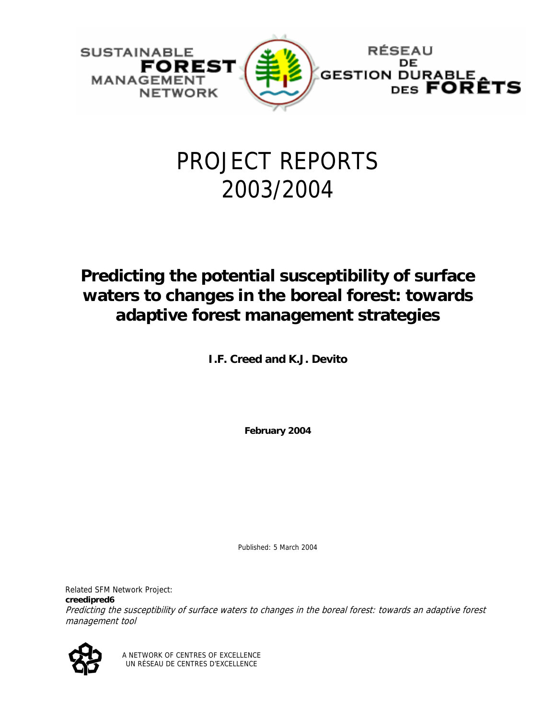

# PROJECT REPORTS 2003/2004

# **Predicting the potential susceptibility of surface waters to changes in the boreal forest: towards adaptive forest management strategies**

**I.F. Creed and K.J. Devito** 

**February 2004** 

Published: 5 March 2004

Related SFM Network Project: **creedipred6**  Predicting the susceptibility of surface waters to changes in the boreal forest: towards an adaptive forest management tool



A NETWORK OF CENTRES OF EXCELLENCE UN RÉSEAU DE CENTRES D'EXCELLENCE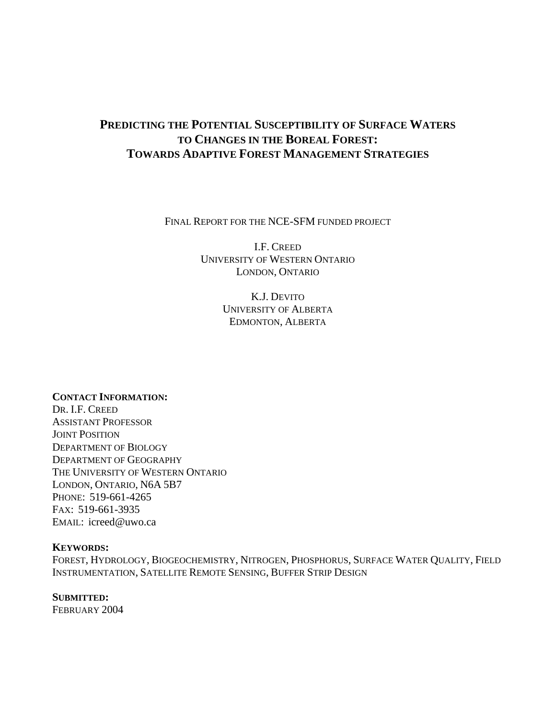# **PREDICTING THE POTENTIAL SUSCEPTIBILITY OF SURFACE WATERS TO CHANGES IN THE BOREAL FOREST: TOWARDS ADAPTIVE FOREST MANAGEMENT STRATEGIES**

FINAL REPORT FOR THE NCE-SFM FUNDED PROJECT

I.F. CREED UNIVERSITY OF WESTERN ONTARIO LONDON, ONTARIO

> K.J. DEVITO UNIVERSITY OF ALBERTA EDMONTON, ALBERTA

**CONTACT INFORMATION:**  DR. I.F. CREED ASSISTANT PROFESSOR JOINT POSITION DEPARTMENT OF BIOLOGY DEPARTMENT OF GEOGRAPHY THE UNIVERSITY OF WESTERN ONTARIO LONDON, ONTARIO, N6A 5B7 PHONE: 519-661-4265 FAX: 519-661-3935 EMAIL: icreed@uwo.ca

# **KEYWORDS:**

FOREST, HYDROLOGY, BIOGEOCHEMISTRY, NITROGEN, PHOSPHORUS, SURFACE WATER QUALITY, FIELD INSTRUMENTATION, SATELLITE REMOTE SENSING, BUFFER STRIP DESIGN

# **SUBMITTED:**

FEBRUARY 2004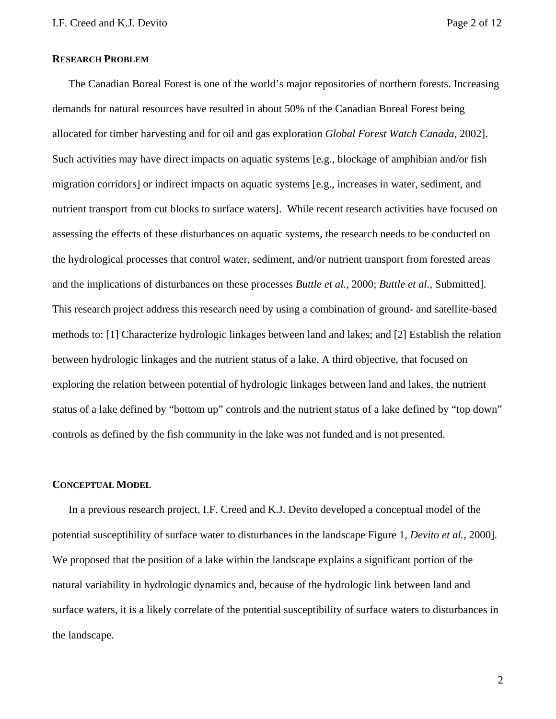# **RESEARCH PROBLEM**

The Canadian Boreal Forest is one of the world's major repositories of northern forests. Increasing demands for natural resources have resulted in about 50% of the Canadian Boreal Forest being allocated for timber harvesting and for oil and gas exploration *Global Forest Watch Canada*, 2002]. Such activities may have direct impacts on aquatic systems [e.g., blockage of amphibian and/or fish migration corridors] or indirect impacts on aquatic systems [e.g., increases in water, sediment, and nutrient transport from cut blocks to surface waters]. While recent research activities have focused on assessing the effects of these disturbances on aquatic systems, the research needs to be conducted on the hydrological processes that control water, sediment, and/or nutrient transport from forested areas and the implications of disturbances on these processes *Buttle et al.*, 2000; *Buttle et al.*, Submitted]. This research project address this research need by using a combination of ground- and satellite-based methods to: [1] Characterize hydrologic linkages between land and lakes; and [2] Establish the relation between hydrologic linkages and the nutrient status of a lake. A third objective, that focused on exploring the relation between potential of hydrologic linkages between land and lakes, the nutrient status of a lake defined by "bottom up" controls and the nutrient status of a lake defined by "top down" controls as defined by the fish community in the lake was not funded and is not presented.

### **CONCEPTUAL MODEL**

In a previous research project, I.F. Creed and K.J. Devito developed a conceptual model of the potential susceptibility of surface water to disturbances in the landscape Figure 1, *Devito et al.*, 2000]. We proposed that the position of a lake within the landscape explains a significant portion of the natural variability in hydrologic dynamics and, because of the hydrologic link between land and surface waters, it is a likely correlate of the potential susceptibility of surface waters to disturbances in the landscape.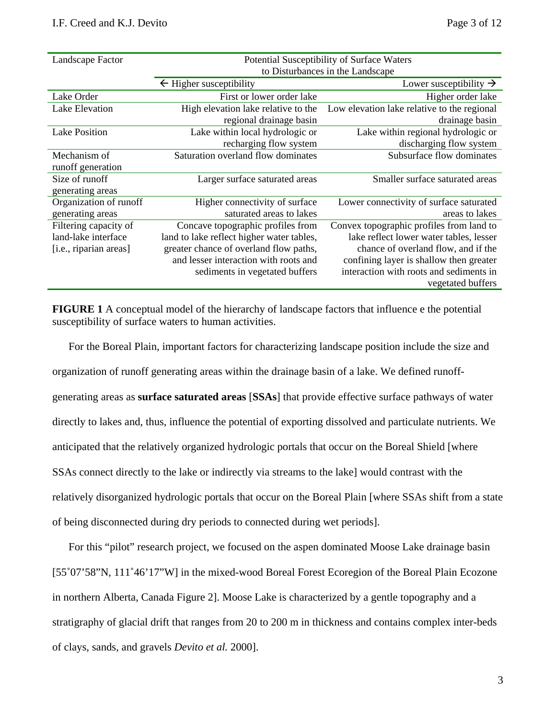| Landscape Factor       | Potential Susceptibility of Surface Waters |                                             |
|------------------------|--------------------------------------------|---------------------------------------------|
|                        | to Disturbances in the Landscape           |                                             |
|                        | $\leftarrow$ Higher susceptibility         | Lower susceptibility $\rightarrow$          |
| Lake Order             | First or lower order lake                  | Higher order lake                           |
| Lake Elevation         | High elevation lake relative to the        | Low elevation lake relative to the regional |
|                        | regional drainage basin                    | drainage basin                              |
| <b>Lake Position</b>   | Lake within local hydrologic or            | Lake within regional hydrologic or          |
|                        | recharging flow system                     | discharging flow system                     |
| Mechanism of           | Saturation overland flow dominates         | Subsurface flow dominates                   |
| runoff generation      |                                            |                                             |
| Size of runoff         | Larger surface saturated areas             | Smaller surface saturated areas             |
| generating areas       |                                            |                                             |
| Organization of runoff | Higher connectivity of surface             | Lower connectivity of surface saturated     |
| generating areas       | saturated areas to lakes                   | areas to lakes                              |
| Filtering capacity of  | Concave topographic profiles from          | Convex topographic profiles from land to    |
| land-lake interface    | land to lake reflect higher water tables,  | lake reflect lower water tables, lesser     |
| [i.e., riparian areas] | greater chance of overland flow paths,     | chance of overland flow, and if the         |
|                        | and lesser interaction with roots and      | confining layer is shallow then greater     |
|                        | sediments in vegetated buffers             | interaction with roots and sediments in     |
|                        |                                            | vegetated buffers                           |

**FIGURE 1** A conceptual model of the hierarchy of landscape factors that influence e the potential susceptibility of surface waters to human activities.

For the Boreal Plain, important factors for characterizing landscape position include the size and organization of runoff generating areas within the drainage basin of a lake. We defined runoffgenerating areas as **surface saturated areas** [**SSAs**] that provide effective surface pathways of water directly to lakes and, thus, influence the potential of exporting dissolved and particulate nutrients. We anticipated that the relatively organized hydrologic portals that occur on the Boreal Shield [where SSAs connect directly to the lake or indirectly via streams to the lake] would contrast with the relatively disorganized hydrologic portals that occur on the Boreal Plain [where SSAs shift from a state of being disconnected during dry periods to connected during wet periods].

For this "pilot" research project, we focused on the aspen dominated Moose Lake drainage basin [55°07'58"N, 111°46'17"W] in the mixed-wood Boreal Forest Ecoregion of the Boreal Plain Ecozone in northern Alberta, Canada Figure 2]. Moose Lake is characterized by a gentle topography and a stratigraphy of glacial drift that ranges from 20 to 200 m in thickness and contains complex inter-beds of clays, sands, and gravels *Devito et al.* 2000].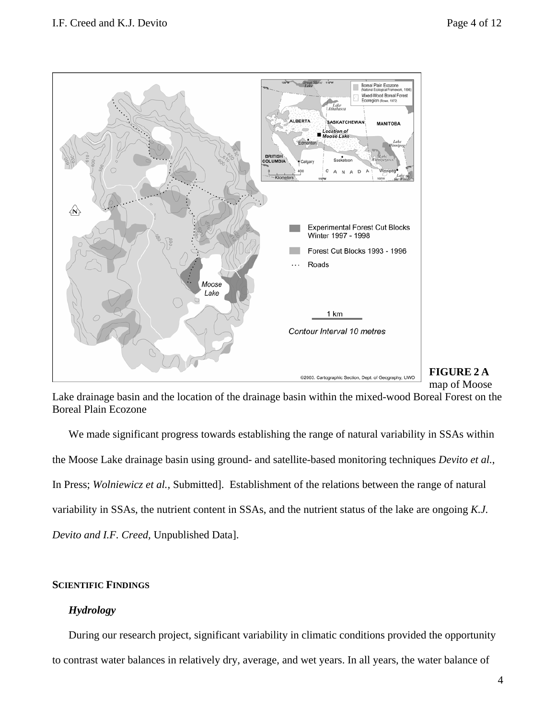

# **FIGURE 2 A** map of Moose

Lake drainage basin and the location of the drainage basin within the mixed-wood Boreal Forest on the Boreal Plain Ecozone

We made significant progress towards establishing the range of natural variability in SSAs within the Moose Lake drainage basin using ground- and satellite-based monitoring techniques *Devito et al.*, In Press; *Wolniewicz et al.,* Submitted]. Establishment of the relations between the range of natural variability in SSAs, the nutrient content in SSAs, and the nutrient status of the lake are ongoing *K.J. Devito and I.F. Creed,* Unpublished Data].

# **SCIENTIFIC FINDINGS**

# *Hydrology*

During our research project, significant variability in climatic conditions provided the opportunity to contrast water balances in relatively dry, average, and wet years. In all years, the water balance of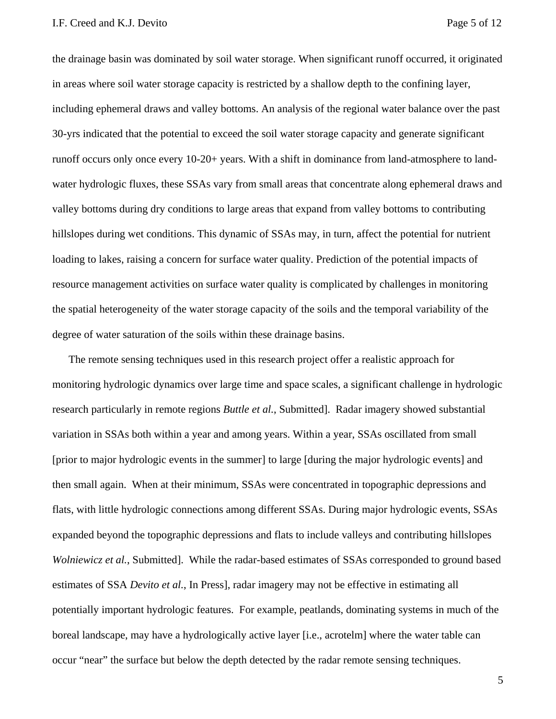the drainage basin was dominated by soil water storage. When significant runoff occurred, it originated in areas where soil water storage capacity is restricted by a shallow depth to the confining layer, including ephemeral draws and valley bottoms. An analysis of the regional water balance over the past 30-yrs indicated that the potential to exceed the soil water storage capacity and generate significant runoff occurs only once every 10-20+ years. With a shift in dominance from land-atmosphere to landwater hydrologic fluxes, these SSAs vary from small areas that concentrate along ephemeral draws and valley bottoms during dry conditions to large areas that expand from valley bottoms to contributing hillslopes during wet conditions. This dynamic of SSAs may, in turn, affect the potential for nutrient loading to lakes, raising a concern for surface water quality. Prediction of the potential impacts of resource management activities on surface water quality is complicated by challenges in monitoring the spatial heterogeneity of the water storage capacity of the soils and the temporal variability of the degree of water saturation of the soils within these drainage basins.

The remote sensing techniques used in this research project offer a realistic approach for monitoring hydrologic dynamics over large time and space scales, a significant challenge in hydrologic research particularly in remote regions *Buttle et al.*, Submitted]. Radar imagery showed substantial variation in SSAs both within a year and among years. Within a year, SSAs oscillated from small [prior to major hydrologic events in the summer] to large [during the major hydrologic events] and then small again. When at their minimum, SSAs were concentrated in topographic depressions and flats, with little hydrologic connections among different SSAs. During major hydrologic events, SSAs expanded beyond the topographic depressions and flats to include valleys and contributing hillslopes *Wolniewicz et al.*, Submitted]. While the radar-based estimates of SSAs corresponded to ground based estimates of SSA *Devito et al.*, In Press], radar imagery may not be effective in estimating all potentially important hydrologic features. For example, peatlands, dominating systems in much of the boreal landscape, may have a hydrologically active layer [i.e., acrotelm] where the water table can occur "near" the surface but below the depth detected by the radar remote sensing techniques.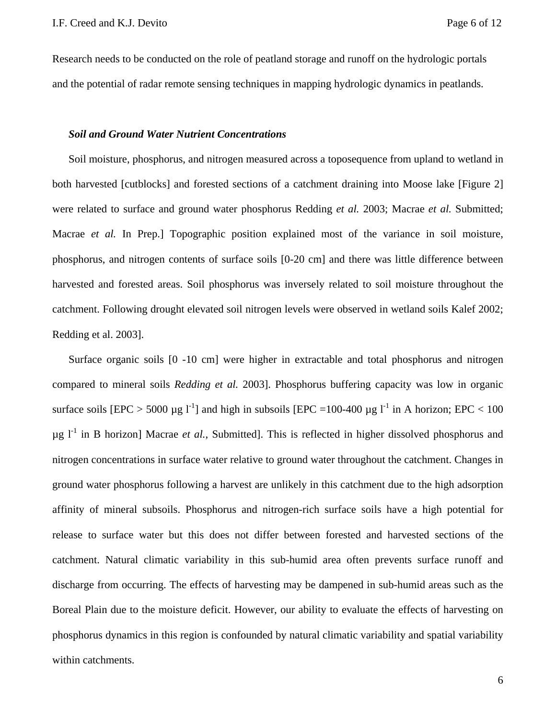Research needs to be conducted on the role of peatland storage and runoff on the hydrologic portals and the potential of radar remote sensing techniques in mapping hydrologic dynamics in peatlands.

### *Soil and Ground Water Nutrient Concentrations*

Soil moisture, phosphorus, and nitrogen measured across a toposequence from upland to wetland in both harvested [cutblocks] and forested sections of a catchment draining into Moose lake [Figure 2] were related to surface and ground water phosphorus Redding *et al.* 2003; Macrae *et al.* Submitted; Macrae *et al.* In Prep.] Topographic position explained most of the variance in soil moisture, phosphorus, and nitrogen contents of surface soils [0-20 cm] and there was little difference between harvested and forested areas. Soil phosphorus was inversely related to soil moisture throughout the catchment. Following drought elevated soil nitrogen levels were observed in wetland soils Kalef 2002; Redding et al. 2003].

Surface organic soils [0 -10 cm] were higher in extractable and total phosphorus and nitrogen compared to mineral soils *Redding et al.* 2003]. Phosphorus buffering capacity was low in organic surface soils  $[EPC > 5000 \mu g I^{-1}]$  and high in subsoils  $[EPC = 100-400 \mu g I^{-1}]$  in A horizon;  $EPC < 100$  $\mu$ g l<sup>-1</sup> in B horizon] Macrae *et al.*, Submitted]. This is reflected in higher dissolved phosphorus and nitrogen concentrations in surface water relative to ground water throughout the catchment. Changes in ground water phosphorus following a harvest are unlikely in this catchment due to the high adsorption affinity of mineral subsoils. Phosphorus and nitrogen-rich surface soils have a high potential for release to surface water but this does not differ between forested and harvested sections of the catchment. Natural climatic variability in this sub-humid area often prevents surface runoff and discharge from occurring. The effects of harvesting may be dampened in sub-humid areas such as the Boreal Plain due to the moisture deficit. However, our ability to evaluate the effects of harvesting on phosphorus dynamics in this region is confounded by natural climatic variability and spatial variability within catchments.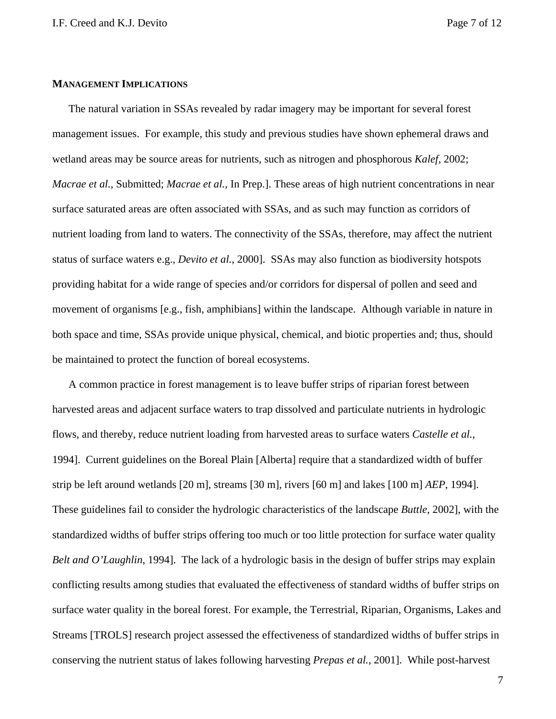#### **MANAGEMENT IMPLICATIONS**

The natural variation in SSAs revealed by radar imagery may be important for several forest management issues. For example, this study and previous studies have shown ephemeral draws and wetland areas may be source areas for nutrients, such as nitrogen and phosphorous *Kalef,* 2002; *Macrae et al.,* Submitted; *Macrae et al.,* In Prep.]. These areas of high nutrient concentrations in near surface saturated areas are often associated with SSAs, and as such may function as corridors of nutrient loading from land to waters. The connectivity of the SSAs, therefore, may affect the nutrient status of surface waters e.g., *Devito et al.*, 2000]. SSAs may also function as biodiversity hotspots providing habitat for a wide range of species and/or corridors for dispersal of pollen and seed and movement of organisms [e.g., fish, amphibians] within the landscape. Although variable in nature in both space and time, SSAs provide unique physical, chemical, and biotic properties and; thus, should be maintained to protect the function of boreal ecosystems.

A common practice in forest management is to leave buffer strips of riparian forest between harvested areas and adjacent surface waters to trap dissolved and particulate nutrients in hydrologic flows, and thereby, reduce nutrient loading from harvested areas to surface waters *Castelle et al.*, 1994]. Current guidelines on the Boreal Plain [Alberta] require that a standardized width of buffer strip be left around wetlands [20 m], streams [30 m], rivers [60 m] and lakes [100 m] *AEP*, 1994]. These guidelines fail to consider the hydrologic characteristics of the landscape *Buttle*, 2002], with the standardized widths of buffer strips offering too much or too little protection for surface water quality *Belt and O'Laughlin*, 1994]. The lack of a hydrologic basis in the design of buffer strips may explain conflicting results among studies that evaluated the effectiveness of standard widths of buffer strips on surface water quality in the boreal forest. For example, the Terrestrial, Riparian, Organisms, Lakes and Streams [TROLS] research project assessed the effectiveness of standardized widths of buffer strips in conserving the nutrient status of lakes following harvesting *Prepas et al.*, 2001]. While post-harvest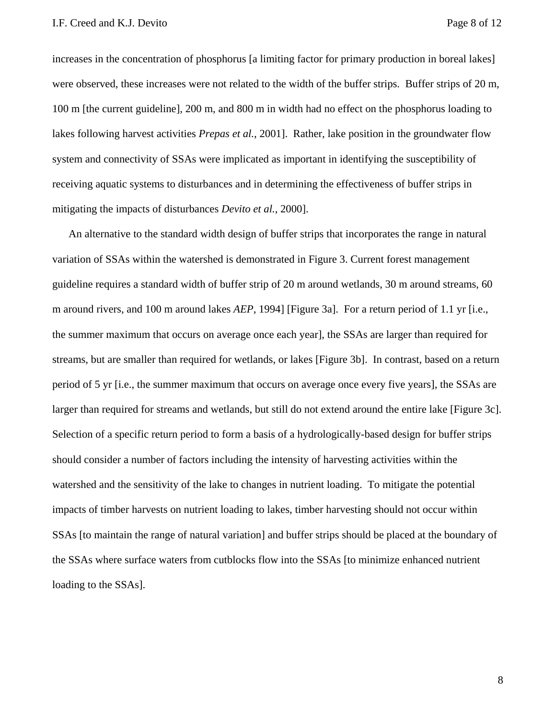increases in the concentration of phosphorus [a limiting factor for primary production in boreal lakes] were observed, these increases were not related to the width of the buffer strips. Buffer strips of 20 m, 100 m [the current guideline], 200 m, and 800 m in width had no effect on the phosphorus loading to lakes following harvest activities *Prepas et al.*, 2001]. Rather, lake position in the groundwater flow system and connectivity of SSAs were implicated as important in identifying the susceptibility of receiving aquatic systems to disturbances and in determining the effectiveness of buffer strips in mitigating the impacts of disturbances *Devito et al.*, 2000].

An alternative to the standard width design of buffer strips that incorporates the range in natural variation of SSAs within the watershed is demonstrated in Figure 3. Current forest management guideline requires a standard width of buffer strip of 20 m around wetlands, 30 m around streams, 60 m around rivers, and 100 m around lakes *AEP*, 1994] [Figure 3a]. For a return period of 1.1 yr [i.e., the summer maximum that occurs on average once each year], the SSAs are larger than required for streams, but are smaller than required for wetlands, or lakes [Figure 3b]. In contrast, based on a return period of 5 yr [i.e., the summer maximum that occurs on average once every five years], the SSAs are larger than required for streams and wetlands, but still do not extend around the entire lake [Figure 3c]. Selection of a specific return period to form a basis of a hydrologically-based design for buffer strips should consider a number of factors including the intensity of harvesting activities within the watershed and the sensitivity of the lake to changes in nutrient loading. To mitigate the potential impacts of timber harvests on nutrient loading to lakes, timber harvesting should not occur within SSAs [to maintain the range of natural variation] and buffer strips should be placed at the boundary of the SSAs where surface waters from cutblocks flow into the SSAs [to minimize enhanced nutrient loading to the SSAs].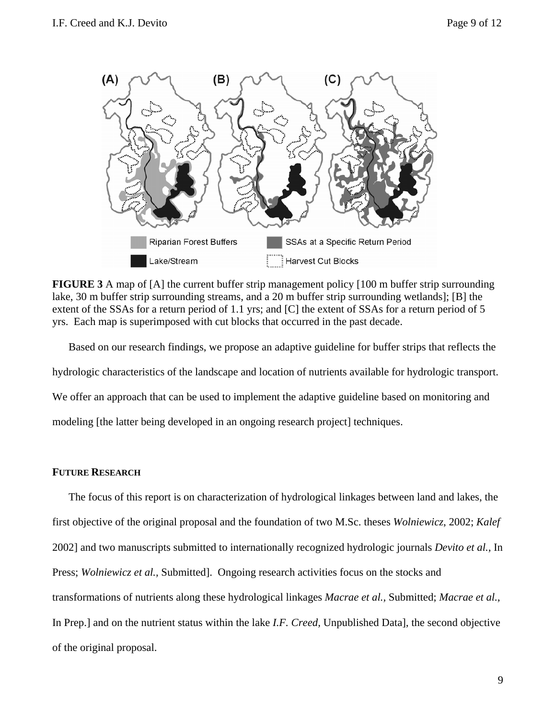

**FIGURE 3** A map of [A] the current buffer strip management policy [100 m buffer strip surrounding lake, 30 m buffer strip surrounding streams, and a 20 m buffer strip surrounding wetlands]; [B] the extent of the SSAs for a return period of 1.1 yrs; and [C] the extent of SSAs for a return period of 5 yrs. Each map is superimposed with cut blocks that occurred in the past decade.

Based on our research findings, we propose an adaptive guideline for buffer strips that reflects the hydrologic characteristics of the landscape and location of nutrients available for hydrologic transport. We offer an approach that can be used to implement the adaptive guideline based on monitoring and modeling [the latter being developed in an ongoing research project] techniques.

# **FUTURE RESEARCH**

The focus of this report is on characterization of hydrological linkages between land and lakes, the first objective of the original proposal and the foundation of two M.Sc. theses *Wolniewicz*, 2002; *Kalef* 2002] and two manuscripts submitted to internationally recognized hydrologic journals *Devito et al.,* In Press; *Wolniewicz et al.,* Submitted]. Ongoing research activities focus on the stocks and transformations of nutrients along these hydrological linkages *Macrae et al.,* Submitted; *Macrae et al.,*  In Prep.] and on the nutrient status within the lake *I.F. Creed,* Unpublished Data], the second objective of the original proposal.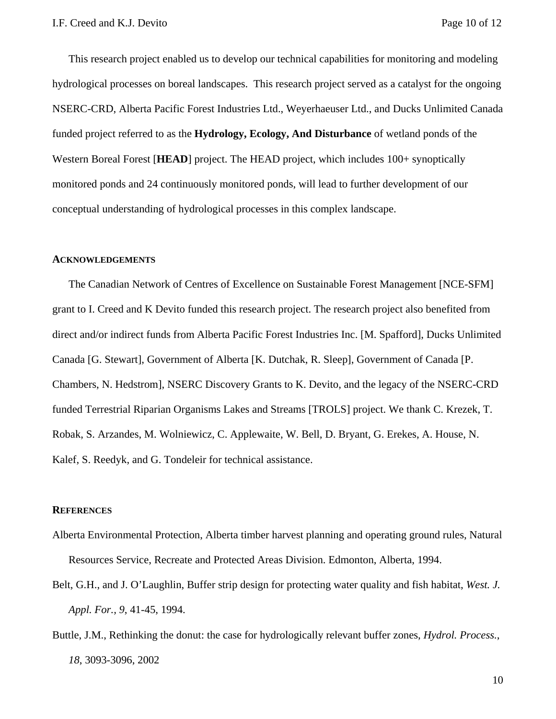This research project enabled us to develop our technical capabilities for monitoring and modeling hydrological processes on boreal landscapes. This research project served as a catalyst for the ongoing NSERC-CRD, Alberta Pacific Forest Industries Ltd., Weyerhaeuser Ltd., and Ducks Unlimited Canada funded project referred to as the **Hydrology, Ecology, And Disturbance** of wetland ponds of the Western Boreal Forest [HEAD] project. The HEAD project, which includes 100+ synoptically monitored ponds and 24 continuously monitored ponds, will lead to further development of our conceptual understanding of hydrological processes in this complex landscape.

# **ACKNOWLEDGEMENTS**

The Canadian Network of Centres of Excellence on Sustainable Forest Management [NCE-SFM] grant to I. Creed and K Devito funded this research project. The research project also benefited from direct and/or indirect funds from Alberta Pacific Forest Industries Inc. [M. Spafford], Ducks Unlimited Canada [G. Stewart], Government of Alberta [K. Dutchak, R. Sleep], Government of Canada [P. Chambers, N. Hedstrom], NSERC Discovery Grants to K. Devito, and the legacy of the NSERC-CRD funded Terrestrial Riparian Organisms Lakes and Streams [TROLS] project. We thank C. Krezek, T. Robak, S. Arzandes, M. Wolniewicz, C. Applewaite, W. Bell, D. Bryant, G. Erekes, A. House, N. Kalef, S. Reedyk, and G. Tondeleir for technical assistance.

### **REFERENCES**

- Alberta Environmental Protection, Alberta timber harvest planning and operating ground rules, Natural Resources Service, Recreate and Protected Areas Division. Edmonton, Alberta, 1994.
- Belt, G.H., and J. O'Laughlin, Buffer strip design for protecting water quality and fish habitat, *West. J. Appl. For., 9*, 41-45, 1994.
- Buttle, J.M., Rethinking the donut: the case for hydrologically relevant buffer zones, *Hydrol. Process.*, *18*, 3093-3096, 2002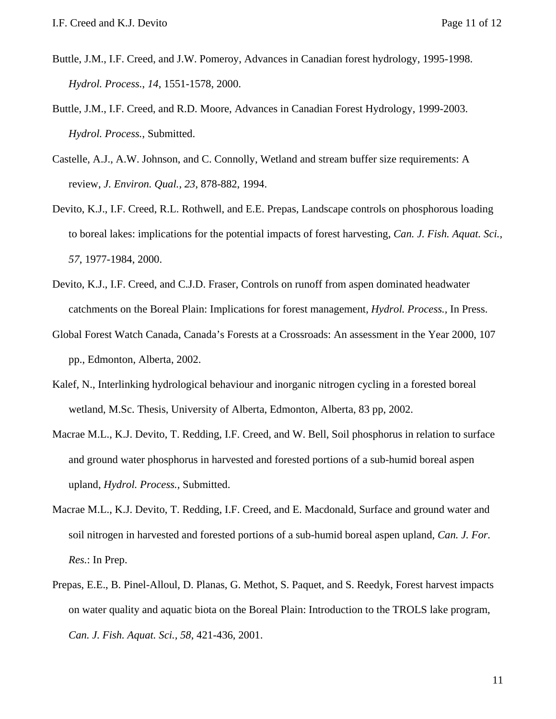- Buttle, J.M., I.F. Creed, and J.W. Pomeroy, Advances in Canadian forest hydrology, 1995-1998. *Hydrol. Process.*, *14*, 1551-1578, 2000.
- Buttle, J.M., I.F. Creed, and R.D. Moore, Advances in Canadian Forest Hydrology, 1999-2003. *Hydrol. Process.*, Submitted.
- Castelle, A.J., A.W. Johnson, and C. Connolly, Wetland and stream buffer size requirements: A review, *J. Environ. Qual.*, *23*, 878-882, 1994.
- Devito, K.J., I.F. Creed, R.L. Rothwell, and E.E. Prepas, Landscape controls on phosphorous loading to boreal lakes: implications for the potential impacts of forest harvesting, *Can. J. Fish. Aquat. Sci., 57*, 1977-1984, 2000.
- Devito, K.J., I.F. Creed, and C.J.D. Fraser, Controls on runoff from aspen dominated headwater catchments on the Boreal Plain: Implications for forest management, *Hydrol. Process.,* In Press.
- Global Forest Watch Canada, Canada's Forests at a Crossroads: An assessment in the Year 2000, 107 pp., Edmonton, Alberta, 2002.
- Kalef, N., Interlinking hydrological behaviour and inorganic nitrogen cycling in a forested boreal wetland, M.Sc. Thesis, University of Alberta, Edmonton, Alberta, 83 pp, 2002.
- Macrae M.L., K.J. Devito, T. Redding, I.F. Creed, and W. Bell, Soil phosphorus in relation to surface and ground water phosphorus in harvested and forested portions of a sub-humid boreal aspen upland, *Hydrol. Process.,* Submitted.
- Macrae M.L., K.J. Devito, T. Redding, I.F. Creed, and E. Macdonald, Surface and ground water and soil nitrogen in harvested and forested portions of a sub-humid boreal aspen upland, *Can. J. For. Res.*: In Prep.
- Prepas, E.E., B. Pinel-Alloul, D. Planas, G. Methot, S. Paquet, and S. Reedyk, Forest harvest impacts on water quality and aquatic biota on the Boreal Plain: Introduction to the TROLS lake program, *Can. J. Fish. Aquat. Sci., 58*, 421-436, 2001.